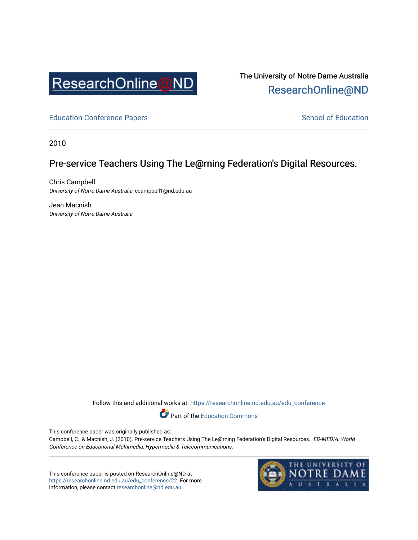

The University of Notre Dame Australia [ResearchOnline@ND](https://researchonline.nd.edu.au/) 

[Education Conference Papers](https://researchonline.nd.edu.au/edu_conference) **School of Education** School of Education

2010

# Pre-service Teachers Using The Le@rning Federation's Digital Resources.

Chris Campbell University of Notre Dame Australia, ccampbell1@nd.edu.au

Jean Macnish University of Notre Dame Australia

Follow this and additional works at: [https://researchonline.nd.edu.au/edu\\_conference](https://researchonline.nd.edu.au/edu_conference?utm_source=researchonline.nd.edu.au%2Fedu_conference%2F22&utm_medium=PDF&utm_campaign=PDFCoverPages)

Part of the [Education Commons](http://network.bepress.com/hgg/discipline/784?utm_source=researchonline.nd.edu.au%2Fedu_conference%2F22&utm_medium=PDF&utm_campaign=PDFCoverPages) 

This conference paper was originally published as:

Campbell, C., & Macnish, J. (2010). Pre-service Teachers Using The Le@rning Federation's Digital Resources.. ED-MEDIA: World Conference on Educational Multimedia, Hypermedia & Telecommunications.

This conference paper is posted on ResearchOnline@ND at [https://researchonline.nd.edu.au/edu\\_conference/22.](https://researchonline.nd.edu.au/edu_conference/22) For more information, please contact [researchonline@nd.edu.au.](mailto:researchonline@nd.edu.au)

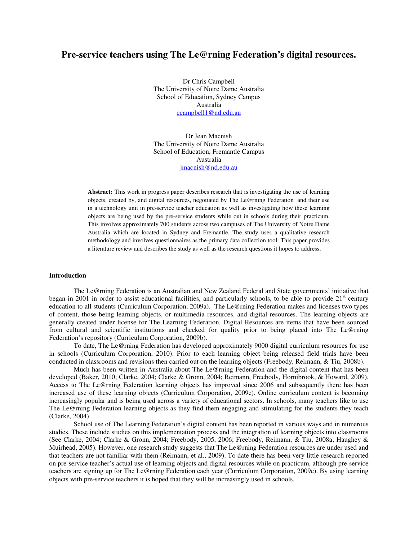# **Pre-service teachers using The Le@rning Federation's digital resources.**

Dr Chris Campbell The University of Notre Dame Australia School of Education, Sydney Campus Australia ccampbell1@nd.edu.au

Dr Jean Macnish The University of Notre Dame Australia School of Education, Fremantle Campus Australia jmacnish@nd.edu.au

**Abstract:** This work in progress paper describes research that is investigating the use of learning objects, created by, and digital resources, negotiated by The Le@rning Federation and their use in a technology unit in pre-service teacher education as well as investigating how these learning objects are being used by the pre-service students while out in schools during their practicum. This involves approximately 700 students across two campuses of The University of Notre Dame Australia which are located in Sydney and Fremantle. The study uses a qualitative research methodology and involves questionnaires as the primary data collection tool. This paper provides a literature review and describes the study as well as the research questions it hopes to address.

### **Introduction**

The Le@rning Federation is an Australian and New Zealand Federal and State governments' initiative that began in 2001 in order to assist educational facilities, and particularly schools, to be able to provide  $21<sup>st</sup>$  century education to all students (Curriculum Corporation, 2009a). The Le@rning Federation makes and licenses two types of content, those being learning objects, or multimedia resources, and digital resources. The learning objects are generally created under license for The Learning Federation. Digital Resources are items that have been sourced from cultural and scientific institutions and checked for quality prior to being placed into The Le@rning Federation's repository (Curriculum Corporation, 2009b).

To date, The Le@rning Federation has developed approximately 9000 digital curriculum resources for use in schools (Curriculum Corporation, 2010). Prior to each learning object being released field trials have been conducted in classrooms and revisions then carried out on the learning objects (Freebody, Reimann, & Tiu, 2008b).

Much has been written in Australia about The Le@rning Federation and the digital content that has been developed (Baker, 2010; Clarke, 2004; Clarke & Gronn, 2004; Reimann, Freebody, Hornibrook, & Howard, 2009). Access to The Le@rning Federation learning objects has improved since 2006 and subsequently there has been increased use of these learning objects (Curriculum Corporation, 2009c). Online curriculum content is becoming increasingly popular and is being used across a variety of educational sectors. In schools, many teachers like to use The Le@rning Federation learning objects as they find them engaging and stimulating for the students they teach (Clarke, 2004).

School use of The Learning Federation's digital content has been reported in various ways and in numerous studies. These include studies on this implementation process and the integration of learning objects into classrooms (See Clarke, 2004; Clarke & Gronn, 2004; Freebody, 2005, 2006; Freebody, Reimann, & Tiu, 2008a; Haughey & Muirhead, 2005). However, one research study suggests that The Le@rning Federation resources are under used and that teachers are not familiar with them (Reimann, et al., 2009). To date there has been very little research reported on pre-service teacher's actual use of learning objects and digital resources while on practicum, although pre-service teachers are signing up for The Le@rning Federation each year (Curriculum Corporation, 2009c). By using learning objects with pre-service teachers it is hoped that they will be increasingly used in schools.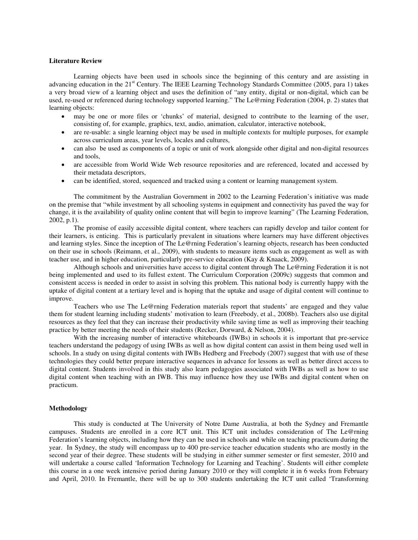#### **Literature Review**

Learning objects have been used in schools since the beginning of this century and are assisting in advancing education in the  $21<sup>st</sup>$  Century. The IEEE Learning Technology Standards Committee (2005, para 1) takes a very broad view of a learning object and uses the definition of "any entity, digital or non-digital, which can be used, re-used or referenced during technology supported learning." The Le@rning Federation (2004, p. 2) states that learning objects:

- may be one or more files or 'chunks' of material, designed to contribute to the learning of the user, consisting of, for example, graphics, text, audio, animation, calculator, interactive notebook,
- are re-usable: a single learning object may be used in multiple contexts for multiple purposes, for example across curriculum areas, year levels, locales and cultures,
- can also be used as components of a topic or unit of work alongside other digital and non-digital resources and tools,
- are accessible from World Wide Web resource repositories and are referenced, located and accessed by their metadata descriptors,
- can be identified, stored, sequenced and tracked using a content or learning management system.

The commitment by the Australian Government in 2002 to the Learning Federation's initiative was made on the premise that "while investment by all schooling systems in equipment and connectivity has paved the way for change, it is the availability of quality online content that will begin to improve learning" (The Learning Federation, 2002, p.1).

The promise of easily accessible digital content, where teachers can rapidly develop and tailor content for their learners, is enticing. This is particularly prevalent in situations where learners may have different objectives and learning styles. Since the inception of The Le@rning Federation's learning objects, research has been conducted on their use in schools (Reimann, et al., 2009), with students to measure items such as engagement as well as with teacher use, and in higher education, particularly pre-service education (Kay & Knaack, 2009).

Although schools and universities have access to digital content through The Le@rning Federation it is not being implemented and used to its fullest extent. The Curriculum Corporation (2009c) suggests that common and consistent access is needed in order to assist in solving this problem. This national body is currently happy with the uptake of digital content at a tertiary level and is hoping that the uptake and usage of digital content will continue to improve.

Teachers who use The Le@rning Federation materials report that students' are engaged and they value them for student learning including students' motivation to learn (Freebody, et al., 2008b). Teachers also use digital resources as they feel that they can increase their productivity while saving time as well as improving their teaching practice by better meeting the needs of their students (Recker, Dorward, & Nelson, 2004).

With the increasing number of interactive whiteboards (IWBs) in schools it is important that pre-service teachers understand the pedagogy of using IWBs as well as how digital content can assist in them being used well in schools. In a study on using digital contents with IWBs Hedberg and Freebody (2007) suggest that with use of these technologies they could better prepare interactive sequences in advance for lessons as well as better direct access to digital content. Students involved in this study also learn pedagogies associated with IWBs as well as how to use digital content when teaching with an IWB. This may influence how they use IWBs and digital content when on practicum.

#### **Methodology**

This study is conducted at The University of Notre Dame Australia, at both the Sydney and Fremantle campuses. Students are enrolled in a core ICT unit. This ICT unit includes consideration of The Le@rning Federation's learning objects, including how they can be used in schools and while on teaching practicum during the year. In Sydney, the study will encompass up to 400 pre-service teacher education students who are mostly in the second year of their degree. These students will be studying in either summer semester or first semester, 2010 and will undertake a course called 'Information Technology for Learning and Teaching'. Students will either complete this course in a one week intensive period during January 2010 or they will complete it in 6 weeks from February and April, 2010. In Fremantle, there will be up to 300 students undertaking the ICT unit called 'Transforming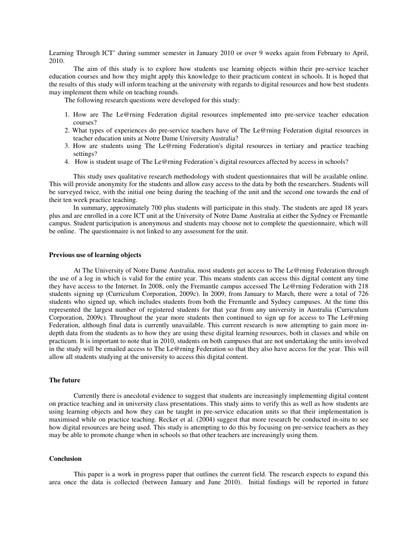Learning Through ICT' during summer semester in January 2010 or over 9 weeks again from February to April, 2010.

The aim of this study is to explore how students use learning objects within their pre-service teacher education courses and how they might apply this knowledge to their practicum context in schools. It is hoped that the results of this study will inform teaching at the university with regards to digital resources and how best students may implement them while on teaching rounds.

The following research questions were developed for this study:

- 1. How are The Le@rning Federation digital resources implemented into pre-service teacher education courses?
- 2. What types of experiences do pre-service teachers have of The Le@rning Federation digital resources in teacher education units at Notre Dame University Australia?
- 3. How are students using The Le@rning Federation's digital resources in tertiary and practice teaching settings?
- 4. How is student usage of The Le@rning Federation's digital resources affected by access in schools?

This study uses qualitative research methodology with student questionnaires that will be available online. This will provide anonymity for the students and allow easy access to the data by both the researchers. Students will be surveyed twice, with the initial one being during the teaching of the unit and the second one towards the end of their ten week practice teaching.

In summary, approximately 700 plus students will participate in this study. The students are aged 18 years plus and are enrolled in a core ICT unit at the University of Notre Dame Australia at either the Sydney or Fremantle campus. Student participation is anonymous and students may choose not to complete the questionnaire, which will be online. The questionnaire is not linked to any assessment for the unit.

#### **Previous use of learning objects**

At The University of Notre Dame Australia, most students get access to The Le@rning Federation through the use of a log in which is valid for the entire year. This means students can access this digital content any time they have access to the Internet. In 2008, only the Fremantle campus accessed The Le@rning Federation with 218 students signing up (Curriculum Corporation, 2009c). In 2009, from January to March, there were a total of 726 students who signed up, which includes students from both the Fremantle and Sydney campuses. At the time this represented the largest number of registered students for that year from any university in Australia (Curriculum Corporation, 2009c). Throughout the year more students then continued to sign up for access to The Le@rning Federation, although final data is currently unavailable. This current research is now attempting to gain more indepth data from the students as to how they are using these digital learning resources, both in classes and while on practicum. It is important to note that in 2010, students on both campuses that are not undertaking the units involved in the study will be emailed access to The Le@rning Federation so that they also have access for the year. This will allow all students studying at the university to access this digital content.

## **The future**

Currently there is anecdotal evidence to suggest that students are increasingly implementing digital content on practice teaching and in university class presentations. This study aims to verify this as well as how students are using learning objects and how they can be taught in pre-service education units so that their implementation is maximised while on practice teaching. Recker et al. (2004) suggest that more research be conducted in-situ to see how digital resources are being used. This study is attempting to do this by focusing on pre-service teachers as they may be able to promote change when in schools so that other teachers are increasingly using them.

#### **Conclusion**

This paper is a work in progress paper that outlines the current field. The research expects to expand this area once the data is collected (between January and June 2010). Initial findings will be reported in future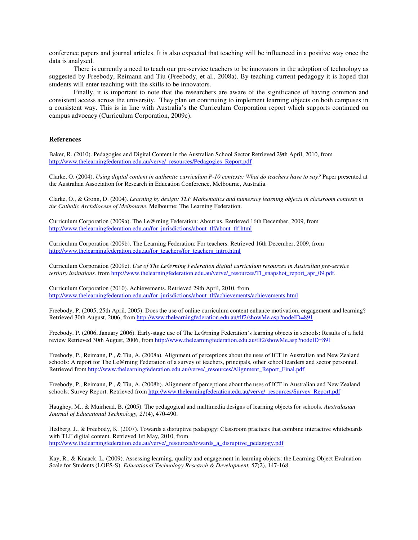conference papers and journal articles. It is also expected that teaching will be influenced in a positive way once the data is analysed.

There is currently a need to teach our pre-service teachers to be innovators in the adoption of technology as suggested by Freebody, Reimann and Tiu (Freebody, et al., 2008a). By teaching current pedagogy it is hoped that students will enter teaching with the skills to be innovators.

Finally, it is important to note that the researchers are aware of the significance of having common and consistent access across the university. They plan on continuing to implement learning objects on both campuses in a consistent way. This is in line with Australia's the Curriculum Corporation report which supports continued on campus advocacy (Curriculum Corporation, 2009c).

# **References**

Baker, R. (2010). Pedagogies and Digital Content in the Australian School Sector Retrieved 29th April, 2010, from http://www.thelearningfederation.edu.au/verve/\_resources/Pedagogies\_Report.pdf

Clarke, O. (2004). *Using digital content in authentic curriculum P-10 contexts: What do teachers have to say?* Paper presented at the Australian Association for Research in Education Conference, Melbourne, Australia.

Clarke, O., & Gronn, D. (2004). *Learning by design: TLF Mathematics and numeracy learning objects in classroom contexts in the Catholic Archdiocese of Melbourne*. Melbourne: The Learning Federation.

Curriculum Corporation (2009a). The Le@rning Federation: About us. Retrieved 16th December, 2009, from http://www.thelearningfederation.edu.au/for\_jurisdictions/about\_tlf/about\_tlf.html

Curriculum Corporation (2009b). The Learning Federation: For teachers. Retrieved 16th December, 2009, from http://www.thelearningfederation.edu.au/for\_teachers/for\_teachers\_intro.html

Curriculum Corporation (2009c). *Use of The Le@rning Federation digital curriculum resources in Australian pre-service tertiary insitutions.* from http://www.thelearningfederation.edu.au/verve/\_resources/TI\_snapshot\_report\_apr\_09.pdf.

Curriculum Corporation (2010). Achievements. Retrieved 29th April, 2010, from http://www.thelearningfederation.edu.au/for\_jurisdictions/about\_tlf/achievements/achievements.html

Freebody, P. (2005, 25th April, 2005). Does the use of online curriculum content enhance motivation, engagement and learning? Retrieved 30th August, 2006, from http://www.thelearningfederation.edu.au/tlf2/showMe.asp?nodeID=891

Freebody, P. (2006, January 2006). Early-stage use of The Le@rning Federation's learning objects in schools: Results of a field review Retrieved 30th August, 2006, from http://www.thelearningfederation.edu.au/tlf2/showMe.asp?nodeID=891

Freebody, P., Reimann, P., & Tiu, A. (2008a). Alignment of perceptions about the uses of ICT in Australian and New Zealand schools: A report for The Le@rning Federation of a survey of teachers, principals, other school learders and sector personnel. Retrieved from http://www.thelearningfederation.edu.au/verve/\_resources/Alignment\_Report\_Final.pdf

Freebody, P., Reimann, P., & Tiu, A. (2008b). Alignment of perceptions about the uses of ICT in Australian and New Zealand schools: Survey Report. Retrieved from http://www.thelearningfederation.edu.au/verve/\_resources/Survey\_Report.pdf

Haughey, M., & Muirhead, B. (2005). The pedagogical and multimedia designs of learning objects for schools. *Australasian Journal of Educational Technology, 21*(4), 470-490.

Hedberg, J., & Freebody, K. (2007). Towards a disruptive pedagogy: Classroom practices that combine interactive whiteboards with TLF digital content. Retrieved 1st May, 2010, from http://www.thelearningfederation.edu.au/verve/\_resources/towards\_a\_disruptive\_pedagogy.pdf

Kay, R., & Knaack, L. (2009). Assessing learning, quality and engagement in learning objects: the Learning Object Evaluation Scale for Students (LOES-S). *Educational Technology Research & Development, 57*(2), 147-168.